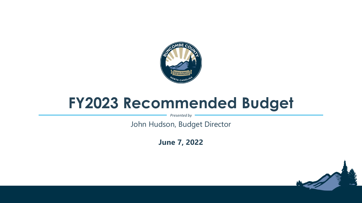

# **FY2023 Recommended Budget**

*Presented by*

John Hudson, Budget Director

**June 7, 2022**

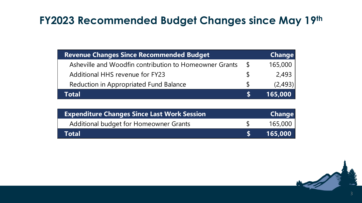#### **FY2023 Recommended Budget Changes since May 19th**

| <b>Revenue Changes Since Recommended Budget</b>        |              | <b>Change</b> |
|--------------------------------------------------------|--------------|---------------|
| Asheville and Woodfin contribution to Homeowner Grants | <sup>S</sup> | 165,000       |
| <b>Additional HHS revenue for FY23</b>                 | S            | 2,493         |
| Reduction in Appropriated Fund Balance                 | <sup>S</sup> | (2, 493)      |
| Total                                                  |              | 165,000       |

| <b>Expenditure Changes Since Last Work Session</b> | <b>Change</b> |
|----------------------------------------------------|---------------|
| Additional budget for Homeowner Grants             | 165,000       |
| <b>Total</b>                                       | 165,000       |

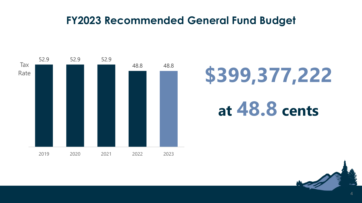#### **FY2023 Recommended General Fund Budget**



# **\$399,377,222 at 48.8 cents**

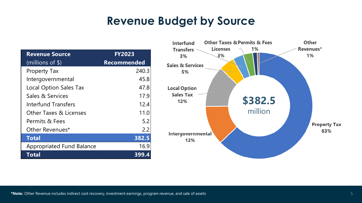#### **Revenue Budget by Source**

| <b>Revenue Source</b>            | <b>FY2023</b>      |
|----------------------------------|--------------------|
| $(millions of $))$               | <b>Recommended</b> |
| <b>Property Tax</b>              | 240.3              |
| Intergovernmental                | 45.8               |
| <b>Local Option Sales Tax</b>    | 47.8               |
| Sales & Services                 | 17.9               |
| Interfund Transfers              | 12.4               |
| Other Taxes & Licenses           | 11.0               |
| Permits & Fees                   | 5.2                |
| Other Revenues*                  | 2.2                |
| <b>Total</b>                     | 382.5              |
| <b>Appropriated Fund Balance</b> | 16.9               |
| Total                            | 399                |

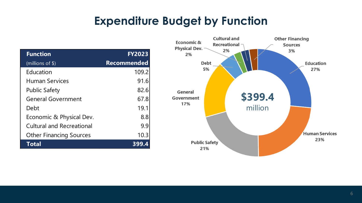#### **Expenditure Budget by Function**

| <b>Function</b>                  | <b>FY2023</b>      |
|----------------------------------|--------------------|
| (millions of $$$ )               | <b>Recommended</b> |
| Education                        | 109.2              |
| <b>Human Services</b>            | 91.6               |
| <b>Public Safety</b>             | 82.6               |
| <b>General Government</b>        | 67.8               |
| Debt                             | 19.1               |
| Economic & Physical Dev.         | 8.8                |
| <b>Cultural and Recreational</b> | 9.9                |
| <b>Other Financing Sources</b>   | 10.3               |
| Total                            |                    |

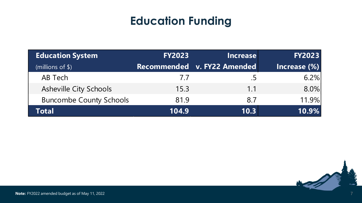#### **Education Funding**

| <b>Education System</b>        | <b>FY2023</b> | <b>Increase</b>             | <b>FY2023</b> |
|--------------------------------|---------------|-----------------------------|---------------|
| (millions of $$$ )             |               | Recommended v. FY22 Amended | Increase (%)  |
| AB Tech                        | 77            | .5                          | 6.2%          |
| <b>Asheville City Schools</b>  | 15.3          | 1.1                         | 8.0%          |
| <b>Buncombe County Schools</b> | 81.9          | 8.7                         | 11.9%         |
| Total                          | 104.9         | 10.3                        | 10.9%         |

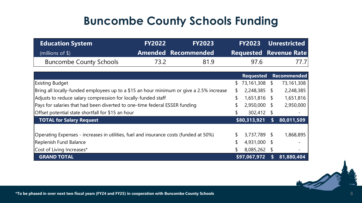#### **Buncombe County Schools Funding**

| <b>Education System</b>        | <b>FY2022</b> | <b>FY2023</b>              |      | <b>FY2023</b> Unrestricted    |
|--------------------------------|---------------|----------------------------|------|-------------------------------|
| (millions of $$)$ )            |               | <b>Amended Recommended</b> |      | <b>Requested Revenue Rate</b> |
| <b>Buncombe County Schools</b> | 73.2          | 81.9                       | 97.6 | 77.7                          |

|                                                                                         | <b>Requested</b>     |               | Recommended              |
|-----------------------------------------------------------------------------------------|----------------------|---------------|--------------------------|
| <b>Existing Budget</b>                                                                  | \$73,161,308         | \$            | 73,161,308               |
| Bring all locally-funded employees up to a \$15 an hour minimum or give a 2.5% increase | \$<br>2,248,385      | <sup>\$</sup> | 2,248,385                |
| Adjusts to reduce salary compression for locally-funded staff                           | \$<br>$1,651,816$ \$ |               | 1,651,816                |
| Pays for salaries that had been diverted to one-time federal ESSER funding              | \$<br>2,950,000      |               | 2,950,000                |
| Offset potential state shortfall for \$15 an hour                                       | \$<br>302,412        |               |                          |
| <b>TOTAL for Salary Request</b>                                                         | \$80,313,921         | S.            | 80,011,509               |
|                                                                                         |                      |               |                          |
| Operating Expenses - increases in utilities, fuel and insurance costs (funded at 50%)   | \$<br>3,737,789 \$   |               | 1,868,895                |
| Replenish Fund Balance                                                                  | \$<br>4,931,000 \$   |               |                          |
| Cost of Living Increases*                                                               | \$<br>8,085,262      |               | $\overline{\phantom{a}}$ |
| <b>GRAND TOTAL</b>                                                                      | \$97,067,972         |               | 81,880,404               |

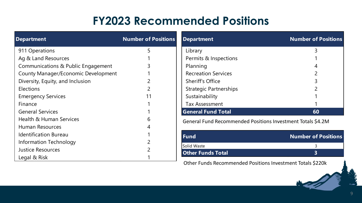#### **FY2023 Recommended Positions**

| <b>Department</b>                          | <b>Number of Positions</b> | <b>Department</b>                                           | <b>Number of Positions</b> |
|--------------------------------------------|----------------------------|-------------------------------------------------------------|----------------------------|
| 911 Operations                             |                            | Library                                                     |                            |
| Ag & Land Resources                        |                            | Permits & Inspections                                       |                            |
| Communications & Public Engagement         |                            | Planning                                                    |                            |
| <b>County Manager/Economic Development</b> |                            | <b>Recreation Services</b>                                  |                            |
| Diversity, Equity, and Inclusion           |                            | <b>Sheriff's Office</b>                                     |                            |
| <b>Elections</b>                           |                            | <b>Strategic Partnerships</b>                               |                            |
| <b>Emergency Services</b>                  |                            | Sustainability                                              |                            |
| Finance                                    |                            | <b>Tax Assessment</b>                                       |                            |
| <b>General Services</b>                    |                            | <b>General Fund Total</b>                                   | 60                         |
| Health & Human Services                    |                            | General Fund Recommended Positions Investment Totals \$4.2M |                            |
| Human Resources                            |                            |                                                             |                            |
| <b>Identification Bureau</b>               |                            | Fund                                                        | <b>Number of Positions</b> |
| Information Technology                     |                            |                                                             |                            |
| <b>Justice Resources</b>                   |                            | Solid Waste<br><b>Other Funds Total</b>                     | 3                          |
| Legal & Risk                               |                            |                                                             |                            |

Other Funds Recommended Positions Investment Totals \$220k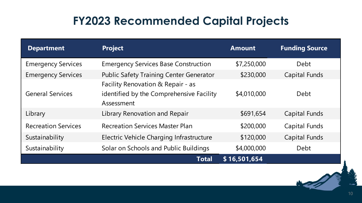## **FY2023 Recommended Capital Projects**

| <b>Department</b>          | <b>Project</b>                                                                              | <b>Amount</b> | <b>Funding Source</b> |
|----------------------------|---------------------------------------------------------------------------------------------|---------------|-----------------------|
| <b>Emergency Services</b>  | <b>Emergency Services Base Construction</b>                                                 | \$7,250,000   | Debt                  |
| <b>Emergency Services</b>  | <b>Public Safety Training Center Generator</b>                                              | \$230,000     | <b>Capital Funds</b>  |
| <b>General Services</b>    | Facility Renovation & Repair - as<br>identified by the Comprehensive Facility<br>Assessment | \$4,010,000   | Debt                  |
| Library                    | Library Renovation and Repair                                                               | \$691,654     | Capital Funds         |
| <b>Recreation Services</b> | <b>Recreation Services Master Plan</b>                                                      | \$200,000     | Capital Funds         |
| Sustainability             | Electric Vehicle Charging Infrastructure                                                    | \$120,000     | <b>Capital Funds</b>  |
| Sustainability             | Solar on Schools and Public Buildings                                                       | \$4,000,000   | Debt                  |
|                            | <b>Total</b>                                                                                | \$16,501,654  |                       |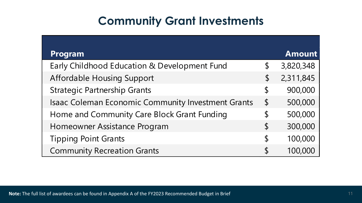### **Community Grant Investments**

| Program                                                   |                           | <b>Amount</b> |
|-----------------------------------------------------------|---------------------------|---------------|
| Early Childhood Education & Development Fund              | $\mathfrak{L}$            | 3,820,348     |
| <b>Affordable Housing Support</b>                         | $\boldsymbol{\mathsf{S}}$ | 2,311,845     |
| <b>Strategic Partnership Grants</b>                       | $\boldsymbol{\beta}$      | 900,000       |
| <b>Isaac Coleman Economic Community Investment Grants</b> | $\boldsymbol{\mathsf{S}}$ | 500,000       |
| Home and Community Care Block Grant Funding               | \$                        | 500,000       |
| Homeowner Assistance Program                              | $\boldsymbol{\mathsf{S}}$ | 300,000       |
| <b>Tipping Point Grants</b>                               | \$                        | 100,000       |
| <b>Community Recreation Grants</b>                        | ${\cal Q}$                | 100,000       |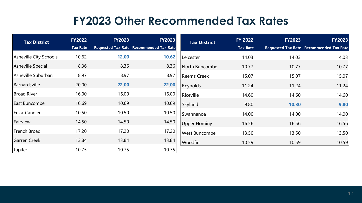#### **FY2023 Other Recommended Tax Rates**

| <b>Tax District</b>    | <b>FY2022</b>   | <b>FY2023</b> | <b>FY2023</b>                           | <b>Tax District</b>  | <b>FY 2022</b>  | <b>FY2023</b> | <b>FY2023</b>                                  |
|------------------------|-----------------|---------------|-----------------------------------------|----------------------|-----------------|---------------|------------------------------------------------|
|                        | <b>Tax Rate</b> |               | Requested Tax Rate Recommended Tax Rate |                      | <b>Tax Rate</b> |               | <b>Requested Tax Rate Recommended Tax Rate</b> |
| Asheville City Schools | 10.62           | 12.00         | 10.62                                   | Leicester            | 14.03           | 14.03         | 14.03                                          |
| Asheville Special      | 8.36            | 8.36          | 8.36                                    | North Buncombe       | 10.77           | 10.77         | 10.77                                          |
| Asheville Suburban     | 8.97            | 8.97          | 8.97                                    | <b>Reems Creek</b>   | 15.07           | 15.07         | 15.07                                          |
| Barnardsville          | 20.00           | 22.00         | 22.00                                   | Reynolds             | 11.24           | 11.24         | 11.24                                          |
| <b>Broad River</b>     | 16.00           | 16.00         | 16.00                                   | Riceville            | 14.60           | 14.60         | 14.60                                          |
| East Buncombe          | 10.69           | 10.69         | 10.69                                   | Skyland              | 9.80            | 10.30         | 9.80                                           |
| Enka-Candler           | 10.50           | 10.50         | 10.50                                   | Swannanoa            | 14.00           | 14.00         | 14.00                                          |
| Fairview               | 14.50           | 14.50         | 14.50                                   | <b>Upper Hominy</b>  | 16.56           | 16.56         | 16.56                                          |
| French Broad           | 17.20           | 17.20         | 17.20                                   | <b>West Buncombe</b> | 13.50           | 13.50         | 13.50                                          |
| <b>Garren Creek</b>    | 13.84           | 13.84         | 13.84                                   | Woodfin              | 10.59           | 10.59         | 10.59                                          |
| Jupiter                | 10.75           | 10.75         | 10.75                                   |                      |                 |               |                                                |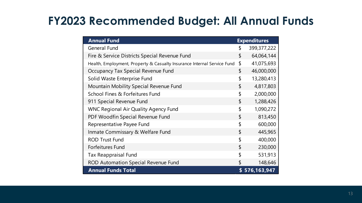#### **FY2023 Recommended Budget: All Annual Funds**

| <b>Annual Fund</b>                                                      | <b>Expenditures</b> |
|-------------------------------------------------------------------------|---------------------|
| <b>General Fund</b>                                                     | \$<br>399,377,222   |
| Fire & Service Districts Special Revenue Fund                           | \$<br>64,064,144    |
| Health, Employment, Property & Casualty Insurance Internal Service Fund | \$<br>41,075,693    |
| Occupancy Tax Special Revenue Fund                                      | \$<br>46,000,000    |
| Solid Waste Enterprise Fund                                             | \$<br>13,280,413    |
| Mountain Mobility Special Revenue Fund                                  | \$<br>4,817,803     |
| School Fines & Forfeitures Fund                                         | \$<br>2,000,000     |
| 911 Special Revenue Fund                                                | \$<br>1,288,426     |
| <b>WNC Regional Air Quality Agency Fund</b>                             | \$<br>1,090,272     |
| PDF Woodfin Special Revenue Fund                                        | \$<br>813,450       |
| Representative Payee Fund                                               | \$<br>600,000       |
| Inmate Commissary & Welfare Fund                                        | \$<br>445,965       |
| <b>ROD Trust Fund</b>                                                   | \$<br>400,000       |
| Forfeitures Fund                                                        | \$<br>230,000       |
| <b>Tax Reappraisal Fund</b>                                             | \$<br>531,913       |
| <b>ROD Automation Special Revenue Fund</b>                              | \$<br>148,646       |
| <b>Annual Funds Total</b>                                               | \$576,163,947       |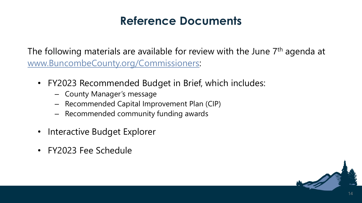#### **Reference Documents**

The following materials are available for review with the June 7<sup>th</sup> agenda at [www.BuncombeCounty.org/Commissioners](http://www.buncombecounty.org/Commissioners):

- FY2023 Recommended Budget in Brief, which includes:
	- County Manager's message
	- Recommended Capital Improvement Plan (CIP)
	- Recommended community funding awards
- Interactive Budget Explorer
- FY2023 Fee Schedule